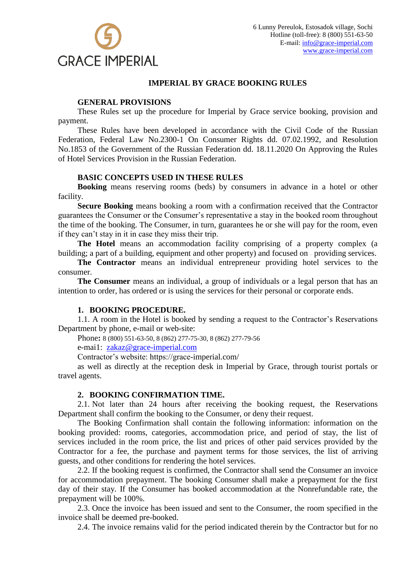

# **IMPERIAL BY GRACE BOOKING RULES**

## **GENERAL PROVISIONS**

These Rules set up the procedure for Imperial by Grace service booking, provision and payment.

These Rules have been developed in accordance with the Civil Code of the Russian Federation, Federal Law No.2300-1 On Consumer Rights dd. 07.02.1992, and Resolution No.1853 of the Government of the Russian Federation dd. 18.11.2020 On Approving the Rules of Hotel Services Provision in the Russian Federation.

## **BASIC CONCEPTS USED IN THESE RULES**

**Booking** means reserving rooms (beds) by consumers in advance in a hotel or other facility.

**Secure Booking** means booking a room with a confirmation received that the Contractor guarantees the Consumer or the Consumer's representative a stay in the booked room throughout the time of the booking. The Consumer, in turn, guarantees he or she will pay for the room, even if they can't stay in it in case they miss their trip.

**The Hotel** means an accommodation facility comprising of a property complex (a building; a part of a building, equipment and other property) and focused on providing services.

**The Contractor** means an individual entrepreneur providing hotel services to the consumer.

**The Consumer** means an individual, a group of individuals or a legal person that has an intention to order, has ordered or is using the services for their personal or corporate ends.

## **1. BOOKING PROCEDURE.**

1.1. A room in the Hotel is booked by sending a request to the Contractor's Reservations Department by phone, e-mail or web-site:

Phone**:** 8 (800) 551-63-50, 8 (862) 277-75-30, 8 (862) 277-79-56

e-mai1: [zakaz@grace-imperial.com](mailto:zakaz@grace-imperial.com)

Contractor's website: https://grace-imperial.com/

as well as directly at the reception desk in Imperial by Grace, through tourist portals or travel agents.

## **2. BOOKING CONFIRMATION TIME.**

2.1. Not later than 24 hours after receiving the booking request, the Reservations Department shall confirm the booking to the Consumer, or deny their request.

The Booking Confirmation shall contain the following information: information on the booking provided: rooms, categories, accommodation price, and period of stay, the list of services included in the room price, the list and prices of other paid services provided by the Contractor for a fee, the purchase and payment terms for those services, the list of arriving guests, and other conditions for rendering the hotel services.

2.2. If the booking request is confirmed, the Contractor shall send the Consumer an invoice for accommodation prepayment. The booking Consumer shall make a prepayment for the first day of their stay. If the Consumer has booked accommodation at the Nonrefundable rate, the prepayment will be 100%.

2.3. Once the invoice has been issued and sent to the Consumer, the room specified in the invoice shall be deemed pre-booked.

2.4. The invoice remains valid for the period indicated therein by the Contractor but for no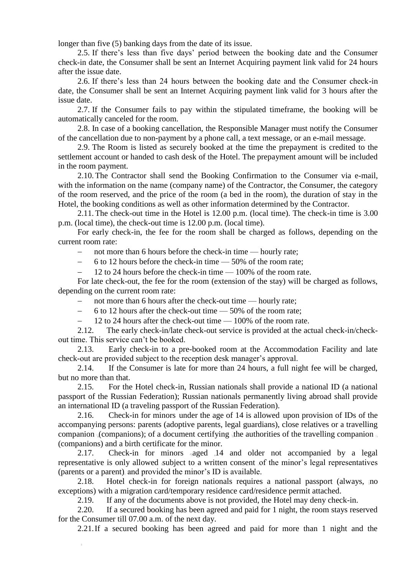longer than five (5) banking days from the date of its issue.

2.5. If there's less than five days' period between the booking date and the Consumer check-in date, the Consumer shall be sent an Internet Acquiring payment link valid for 24 hours after the issue date.

2.6. If there's less than 24 hours between the booking date and the Consumer check-in date, the Consumer shall be sent an Internet Acquiring payment link valid for 3 hours after the issue date.

2.7. If the Consumer fails to pay within the stipulated timeframe, the booking will be automatically canceled for the room.

2.8. In case of a booking cancellation, the Responsible Manager must notify the Consumer of the cancellation due to non-payment by a phone call, a text message, or an e-mail message.

2.9. The Room is listed as securely booked at the time the prepayment is credited to the settlement account or handed to cash desk of the Hotel. The prepayment amount will be included in the room payment.

2.10.The Contractor shall send the Booking Confirmation to the Consumer via e-mail, with the information on the name (company name) of the Contractor, the Consumer, the category of the room reserved, and the price of the room (a bed in the room), the duration of stay in the Hotel, the booking conditions as well as other information determined by the Contractor.

2.11.The check-out time in the Hotel is 12.00 p.m. (local time). The check-in time is 3.00 p.m. (local time), the check-out time is 12.00 p.m. (local time).

For early check-in, the fee for the room shall be charged as follows, depending on the current room rate:

not more than 6 hours before the check-in time — hourly rate;

- 6 to 12 hours before the check-in time 50% of the room rate;
- 12 to 24 hours before the check-in time 100% of the room rate.

For late check-out, the fee for the room (extension of the stay) will be charged as follows, depending on the current room rate:

- not more than 6 hours after the check-out time hourly rate;
- 6 to 12 hours after the check-out time 50% of the room rate;
- 12 to 24 hours after the check-out time 100% of the room rate.

2.12. The early check-in/late check-out service is provided at the actual check-in/checkout time. This service can't be booked.

2.13. Early check-in to a pre-booked room at the Accommodation Facility and late check-out are provided subject to the reception desk manager's approval.

2.14. If the Consumer is late for more than 24 hours, a full night fee will be charged, but no more than that.

2.15. For the Hotel check-in, Russian nationals shall provide a national ID (a national passport of the Russian Federation); Russian nationals permanently living abroad shall provide an international ID (a traveling passport of the Russian Federation).

2.16. Check-in for minors under the age of 14 is allowed upon provision of IDs of the accompanying persons: parents (adoptive parents, legal guardians), close relatives or a travelling companion (companions); of a document certifying the authorities of the travelling companion (companions) and a birth certificate for the minor.

2.17. Check-in for minors aged 14 and older not accompanied by a legal representative is only allowed subject to a written consent of the minor's legal representatives (parents or a parent) and provided the minor's ID is available.

2.18. Hotel check-in for foreign nationals requires a national passport (always, no exceptions) with a migration card/temporary residence card/residence permit attached.

2.19. If any of the documents above is not provided, the Hotel may deny check-in.

2.20. If a secured booking has been agreed and paid for 1 night, the room stays reserved for the Consumer till 07.00 a.m. of the next day.

2.21.If a secured booking has been agreed and paid for more than 1 night and the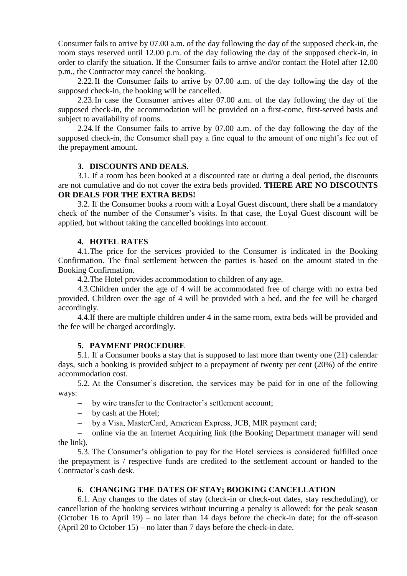Consumer fails to arrive by 07.00 a.m. of the day following the day of the supposed check-in, the room stays reserved until 12.00 p.m. of the day following the day of the supposed check-in, in order to clarify the situation. If the Consumer fails to arrive and/or contact the Hotel after 12.00 p.m., the Contractor may cancel the booking.

2.22.If the Consumer fails to arrive by 07.00 a.m. of the day following the day of the supposed check-in, the booking will be cancelled.

2.23.In case the Consumer arrives after 07.00 a.m. of the day following the day of the supposed check-in, the accommodation will be provided on a first-come, first-served basis and subject to availability of rooms.

2.24.If the Consumer fails to arrive by 07.00 a.m. of the day following the day of the supposed check-in, the Consumer shall pay a fine equal to the amount of one night's fee out of the prepayment amount.

## **3. DISCOUNTS AND DEALS.**

3.1. If a room has been booked at a discounted rate or during a deal period, the discounts are not cumulative and do not cover the extra beds provided. **THERE ARE NO DISCOUNTS OR DEALS FOR THE EXTRA BEDS!**

3.2. If the Consumer books a room with a Loyal Guest discount, there shall be a mandatory check of the number of the Consumer's visits. In that case, the Loyal Guest discount will be applied, but without taking the cancelled bookings into account.

#### **4. HOTEL RATES**

4.1.The price for the services provided to the Consumer is indicated in the Booking Confirmation. The final settlement between the parties is based on the amount stated in the Booking Confirmation.

4.2.The Hotel provides accommodation to children of any age.

4.3.Children under the age of 4 will be accommodated free of charge with no extra bed provided. Children over the age of 4 will be provided with a bed, and the fee will be charged accordingly.

4.4.If there are multiple children under 4 in the same room, extra beds will be provided and the fee will be charged accordingly.

#### **5. PAYMENT PROCEDURE**

5.1. If a Consumer books a stay that is supposed to last more than twenty one (21) calendar days, such a booking is provided subject to a prepayment of twenty per cent (20%) of the entire accommodation cost.

5.2. At the Consumer's discretion, the services may be paid for in one of the following ways:

- by wire transfer to the Contractor's settlement account;
- by cash at the Hotel;
- by a Visa, MasterCard, Аmerican Express, ЈСВ, MIR payment card;

 online via the an Internet Acquiring link (the Booking Department manager will send the link).

5.3. The Consumer's obligation to pay for the Hotel services is considered fulfilled once the prepayment is / respective funds are credited to the settlement account or handed to the Contractor's cash desk.

#### **6. CHANGING THE DATES OF STAY; BOOKING CANCELLATION**

6.1. Any changes to the dates of stay (check-in or check-out dates, stay rescheduling), or cancellation of the booking services without incurring a penalty is allowed: for the peak season (October 16 to April 19) – no later than 14 days before the check-in date; for the off-season (April 20 to October 15) – no later than 7 days before the check-in date.